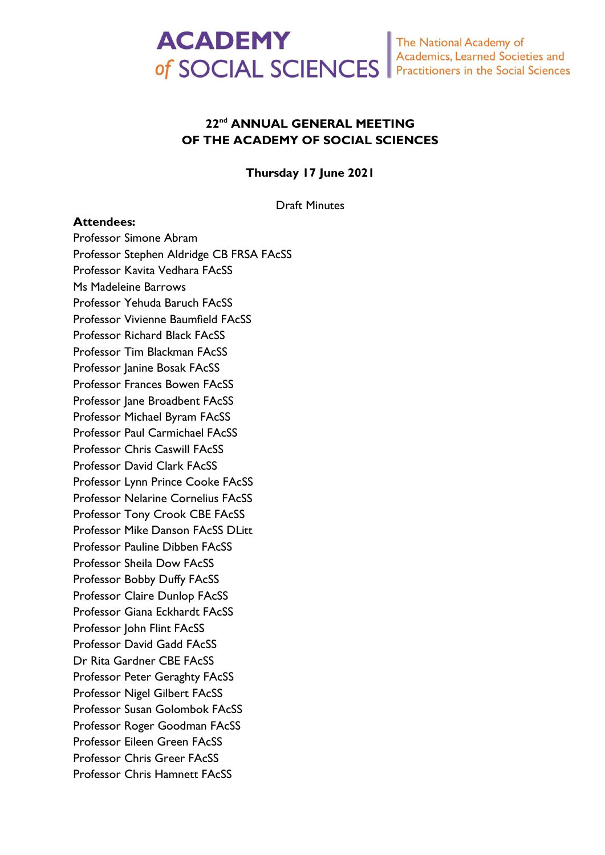

# **22 nd ANNUAL GENERAL MEETING OF THE ACADEMY OF SOCIAL SCIENCES**

**Thursday 17 June 2021**

Draft Minutes

#### **Attendees:**

Professor Simone Abram Professor Stephen Aldridge CB FRSA FAcSS Professor Kavita Vedhara FAcSS Ms Madeleine Barrows Professor Yehuda Baruch FAcSS Professor Vivienne Baumfield FAcSS Professor Richard Black FAcSS Professor Tim Blackman FAcSS Professor Janine Bosak FAcSS Professor Frances Bowen FAcSS Professor Jane Broadbent FAcSS Professor Michael Byram FAcSS Professor Paul Carmichael FAcSS Professor Chris Caswill FAcSS Professor David Clark FAcSS Professor Lynn Prince Cooke FAcSS Professor Nelarine Cornelius FAcSS Professor Tony Crook CBE FAcSS Professor Mike Danson FAcSS DLitt Professor Pauline Dibben FAcSS Professor Sheila Dow FAcSS Professor Bobby Duffy FAcSS Professor Claire Dunlop FAcSS Professor Giana Eckhardt FAcSS Professor John Flint FAcSS Professor David Gadd FAcSS Dr Rita Gardner CBE FAcSS Professor Peter Geraghty FAcSS Professor Nigel Gilbert FAcSS Professor Susan Golombok FAcSS Professor Roger Goodman FAcSS Professor Eileen Green FAcSS Professor Chris Greer FAcSS Professor Chris Hamnett FAcSS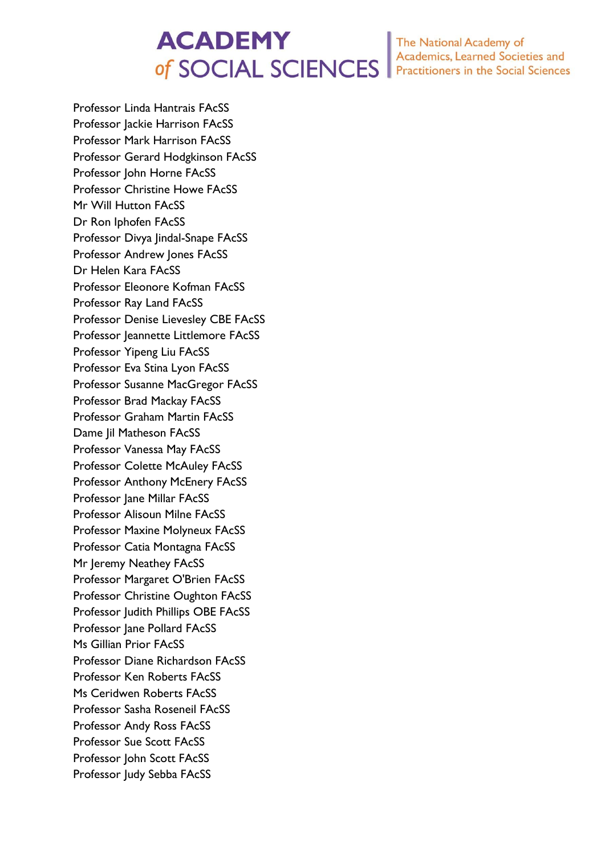# **ACADEMY** of SOCIAL SCIENCES

The National Academy of<br>Academics, Learned Societies and Practitioners in the Social Sciences

Professor Linda Hantrais FAcSS Professor Jackie Harrison FAcSS Professor Mark Harrison FAcSS Professor Gerard Hodgkinson FAcSS Professor John Horne FAcSS Professor Christine Howe FAcSS Mr Will Hutton FAcSS Dr Ron Iphofen FAcSS Professor Divya Jindal-Snape FAcSS Professor Andrew Jones FAcSS Dr Helen Kara FAcSS Professor Eleonore Kofman FAcSS Professor Ray Land FAcSS Professor Denise Lievesley CBE FAcSS Professor Jeannette Littlemore FAcSS Professor Yipeng Liu FAcSS Professor Eva Stina Lyon FAcSS Professor Susanne MacGregor FAcSS Professor Brad Mackay FAcSS Professor Graham Martin FAcSS Dame Jil Matheson FAcSS Professor Vanessa May FAcSS Professor Colette McAuley FAcSS Professor Anthony McEnery FAcSS Professor Jane Millar FAcSS Professor Alisoun Milne FAcSS Professor Maxine Molyneux FAcSS Professor Catia Montagna FAcSS Mr Jeremy Neathey FAcSS Professor Margaret O'Brien FAcSS Professor Christine Oughton FAcSS Professor Judith Phillips OBE FAcSS Professor Jane Pollard FAcSS Ms Gillian Prior FAcSS Professor Diane Richardson FAcSS Professor Ken Roberts FAcSS Ms Ceridwen Roberts FAcSS Professor Sasha Roseneil FAcSS Professor Andy Ross FAcSS Professor Sue Scott FAcSS Professor John Scott FAcSS Professor Judy Sebba FAcSS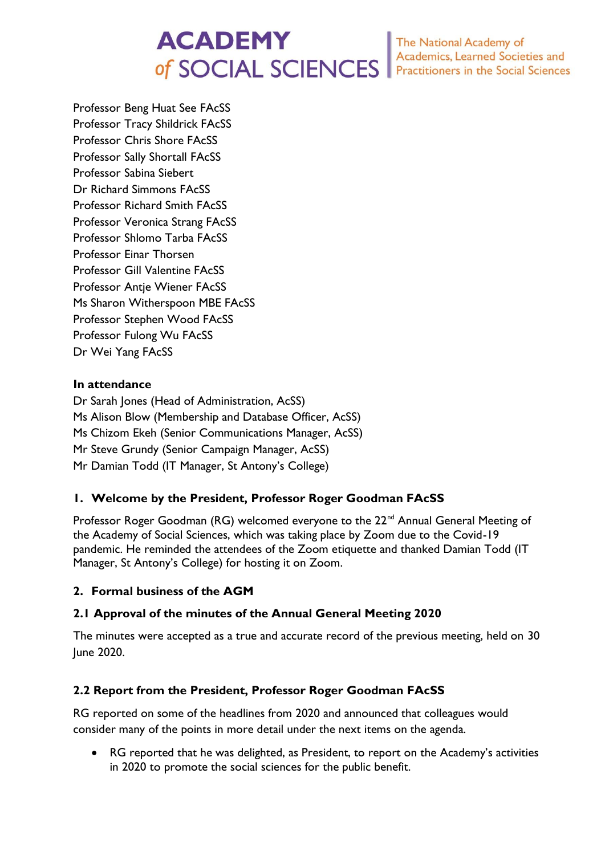# **ACADEMY** of SOCIAL SCIENCES

The National Academy of<br>Academics, Learned Societies and<br>Practitioners in the Social Sciences

Professor Beng Huat See FAcSS Professor Tracy Shildrick FAcSS Professor Chris Shore FAcSS Professor Sally Shortall FAcSS Professor Sabina Siebert Dr Richard Simmons FAcSS Professor Richard Smith FAcSS Professor Veronica Strang FAcSS Professor Shlomo Tarba FAcSS Professor Einar Thorsen Professor Gill Valentine FAcSS Professor Antje Wiener FAcSS Ms Sharon Witherspoon MBE FAcSS Professor Stephen Wood FAcSS Professor Fulong Wu FAcSS Dr Wei Yang FAcSS

# **In attendance**

Dr Sarah Jones (Head of Administration, AcSS) Ms Alison Blow (Membership and Database Officer, AcSS) Ms Chizom Ekeh (Senior Communications Manager, AcSS) Mr Steve Grundy (Senior Campaign Manager, AcSS) Mr Damian Todd (IT Manager, St Antony's College)

# **1. Welcome by the President, Professor Roger Goodman FAcSS**

Professor Roger Goodman (RG) welcomed everyone to the 22<sup>nd</sup> Annual General Meeting of the Academy of Social Sciences, which was taking place by Zoom due to the Covid-19 pandemic. He reminded the attendees of the Zoom etiquette and thanked Damian Todd (IT Manager, St Antony's College) for hosting it on Zoom.

# **2. Formal business of the AGM**

# **2.1 Approval of the minutes of the Annual General Meeting 2020**

The minutes were accepted as a true and accurate record of the previous meeting, held on 30 June 2020.

# **2.2 Report from the President, Professor Roger Goodman FAcSS**

RG reported on some of the headlines from 2020 and announced that colleagues would consider many of the points in more detail under the next items on the agenda.

• RG reported that he was delighted, as President, to report on the Academy's activities in 2020 to promote the social sciences for the public benefit.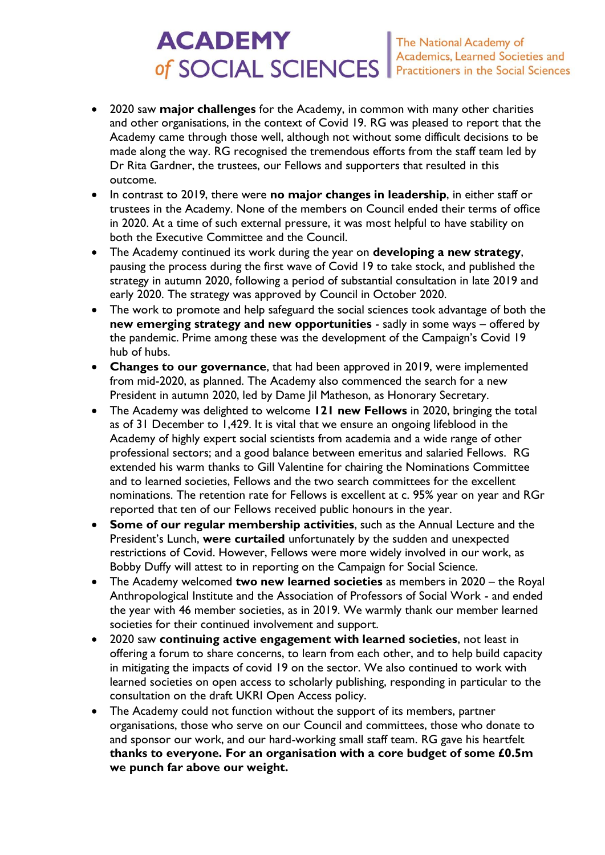# **ACADEMY** The National Academy of<br>Academics, Learned Societies and of SOCIAL SCIENCES Practitioners in the Social Sciences

- 2020 saw **major challenges** for the Academy, in common with many other charities and other organisations, in the context of Covid 19. RG was pleased to report that the Academy came through those well, although not without some difficult decisions to be made along the way. RG recognised the tremendous efforts from the staff team led by Dr Rita Gardner, the trustees, our Fellows and supporters that resulted in this outcome.
- In contrast to 2019, there were **no major changes in leadership**, in either staff or trustees in the Academy. None of the members on Council ended their terms of office in 2020. At a time of such external pressure, it was most helpful to have stability on both the Executive Committee and the Council.
- The Academy continued its work during the year on **developing a new strategy**, pausing the process during the first wave of Covid 19 to take stock, and published the strategy in autumn 2020, following a period of substantial consultation in late 2019 and early 2020. The strategy was approved by Council in October 2020.
- The work to promote and help safeguard the social sciences took advantage of both the **new emerging strategy and new opportunities** - sadly in some ways – offered by the pandemic. Prime among these was the development of the Campaign's Covid 19 hub of hubs.
- **Changes to our governance**, that had been approved in 2019, were implemented from mid-2020, as planned. The Academy also commenced the search for a new President in autumn 2020, led by Dame Jil Matheson, as Honorary Secretary.
- The Academy was delighted to welcome **121 new Fellows** in 2020, bringing the total as of 31 December to 1,429. It is vital that we ensure an ongoing lifeblood in the Academy of highly expert social scientists from academia and a wide range of other professional sectors; and a good balance between emeritus and salaried Fellows. RG extended his warm thanks to Gill Valentine for chairing the Nominations Committee and to learned societies, Fellows and the two search committees for the excellent nominations. The retention rate for Fellows is excellent at c. 95% year on year and RGr reported that ten of our Fellows received public honours in the year.
- **Some of our regular membership activities**, such as the Annual Lecture and the President's Lunch, **were curtailed** unfortunately by the sudden and unexpected restrictions of Covid. However, Fellows were more widely involved in our work, as Bobby Duffy will attest to in reporting on the Campaign for Social Science.
- The Academy welcomed **two new learned societies** as members in 2020 the Royal Anthropological Institute and the Association of Professors of Social Work - and ended the year with 46 member societies, as in 2019. We warmly thank our member learned societies for their continued involvement and support.
- 2020 saw **continuing active engagement with learned societies**, not least in offering a forum to share concerns, to learn from each other, and to help build capacity in mitigating the impacts of covid 19 on the sector. We also continued to work with learned societies on open access to scholarly publishing, responding in particular to the consultation on the draft UKRI Open Access policy.
- The Academy could not function without the support of its members, partner organisations, those who serve on our Council and committees, those who donate to and sponsor our work, and our hard-working small staff team. RG gave his heartfelt **thanks to everyone. For an organisation with a core budget of some £0.5m we punch far above our weight.**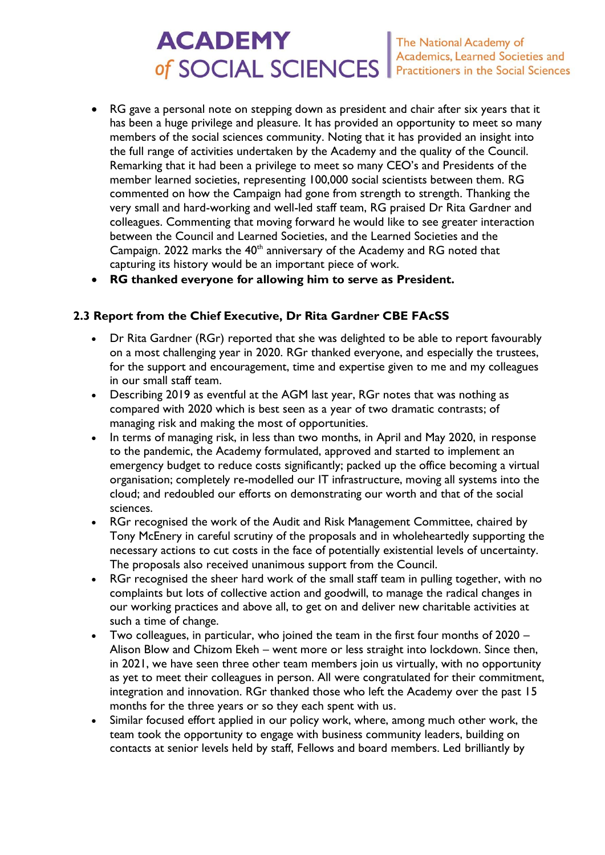# **ACADEMY** The National Academy of<br>Academics, Learned Societies and<br>Practitioners in the Social Sciences of SOCIAL SCIENCES

- RG gave a personal note on stepping down as president and chair after six years that it has been a huge privilege and pleasure. It has provided an opportunity to meet so many members of the social sciences community. Noting that it has provided an insight into the full range of activities undertaken by the Academy and the quality of the Council. Remarking that it had been a privilege to meet so many CEO's and Presidents of the member learned societies, representing 100,000 social scientists between them. RG commented on how the Campaign had gone from strength to strength. Thanking the very small and hard-working and well-led staff team, RG praised Dr Rita Gardner and colleagues. Commenting that moving forward he would like to see greater interaction between the Council and Learned Societies, and the Learned Societies and the Campaign. 2022 marks the 40<sup>th</sup> anniversary of the Academy and RG noted that capturing its history would be an important piece of work.
- **RG thanked everyone for allowing him to serve as President.**

# **2.3 Report from the Chief Executive, Dr Rita Gardner CBE FAcSS**

- Dr Rita Gardner (RGr) reported that she was delighted to be able to report favourably on a most challenging year in 2020. RGr thanked everyone, and especially the trustees, for the support and encouragement, time and expertise given to me and my colleagues in our small staff team.
- Describing 2019 as eventful at the AGM last year, RGr notes that was nothing as compared with 2020 which is best seen as a year of two dramatic contrasts; of managing risk and making the most of opportunities.
- In terms of managing risk, in less than two months, in April and May 2020, in response to the pandemic, the Academy formulated, approved and started to implement an emergency budget to reduce costs significantly; packed up the office becoming a virtual organisation; completely re-modelled our IT infrastructure, moving all systems into the cloud; and redoubled our efforts on demonstrating our worth and that of the social sciences.
- RGr recognised the work of the Audit and Risk Management Committee, chaired by Tony McEnery in careful scrutiny of the proposals and in wholeheartedly supporting the necessary actions to cut costs in the face of potentially existential levels of uncertainty. The proposals also received unanimous support from the Council.
- RGr recognised the sheer hard work of the small staff team in pulling together, with no complaints but lots of collective action and goodwill, to manage the radical changes in our working practices and above all, to get on and deliver new charitable activities at such a time of change.
- Two colleagues, in particular, who joined the team in the first four months of 2020 Alison Blow and Chizom Ekeh – went more or less straight into lockdown. Since then, in 2021, we have seen three other team members join us virtually, with no opportunity as yet to meet their colleagues in person. All were congratulated for their commitment, integration and innovation. RGr thanked those who left the Academy over the past 15 months for the three years or so they each spent with us.
- Similar focused effort applied in our policy work, where, among much other work, the team took the opportunity to engage with business community leaders, building on contacts at senior levels held by staff, Fellows and board members. Led brilliantly by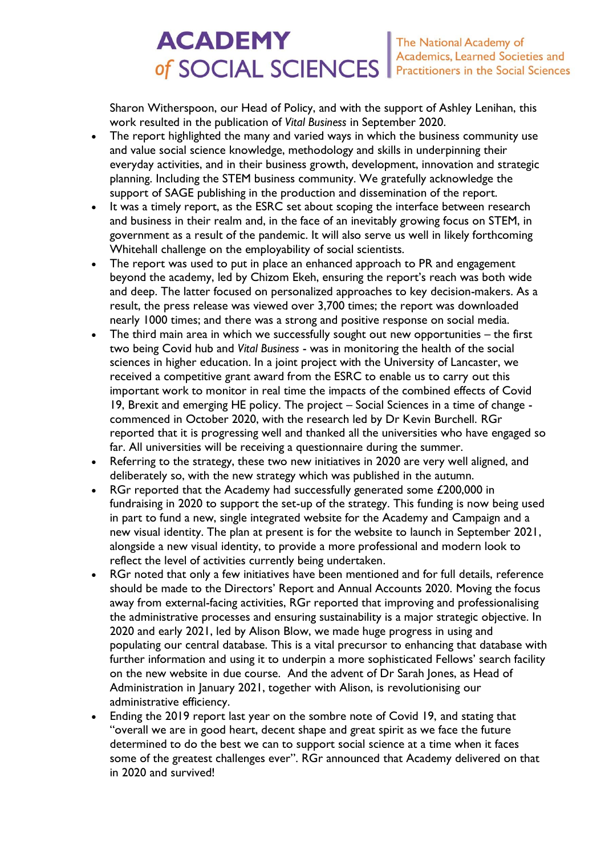# **ACADEMY** The National Academy of<br>Academics, Learned Societies and<br>Practitioners in the Social Sciences of SOCIAL SCIENCES

Sharon Witherspoon, our Head of Policy, and with the support of Ashley Lenihan, this work resulted in the publication of *Vital Business* in September 2020.

- The report highlighted the many and varied ways in which the business community use and value social science knowledge, methodology and skills in underpinning their everyday activities, and in their business growth, development, innovation and strategic planning. Including the STEM business community. We gratefully acknowledge the support of SAGE publishing in the production and dissemination of the report.
- It was a timely report, as the ESRC set about scoping the interface between research and business in their realm and, in the face of an inevitably growing focus on STEM, in government as a result of the pandemic. It will also serve us well in likely forthcoming Whitehall challenge on the employability of social scientists.
- The report was used to put in place an enhanced approach to PR and engagement beyond the academy, led by Chizom Ekeh, ensuring the report's reach was both wide and deep. The latter focused on personalized approaches to key decision-makers. As a result, the press release was viewed over 3,700 times; the report was downloaded nearly 1000 times; and there was a strong and positive response on social media.
- The third main area in which we successfully sought out new opportunities  $-$  the first two being Covid hub and *Vital Business* - was in monitoring the health of the social sciences in higher education. In a joint project with the University of Lancaster, we received a competitive grant award from the ESRC to enable us to carry out this important work to monitor in real time the impacts of the combined effects of Covid 19, Brexit and emerging HE policy. The project – Social Sciences in a time of change commenced in October 2020, with the research led by Dr Kevin Burchell. RGr reported that it is progressing well and thanked all the universities who have engaged so far. All universities will be receiving a questionnaire during the summer.
- Referring to the strategy, these two new initiatives in 2020 are very well aligned, and deliberately so, with the new strategy which was published in the autumn.
- RGr reported that the Academy had successfully generated some £200,000 in fundraising in 2020 to support the set-up of the strategy. This funding is now being used in part to fund a new, single integrated website for the Academy and Campaign and a new visual identity. The plan at present is for the website to launch in September 2021, alongside a new visual identity, to provide a more professional and modern look to reflect the level of activities currently being undertaken.
- RGr noted that only a few initiatives have been mentioned and for full details, reference should be made to the Directors' Report and Annual Accounts 2020. Moving the focus away from external-facing activities, RGr reported that improving and professionalising the administrative processes and ensuring sustainability is a major strategic objective. In 2020 and early 2021, led by Alison Blow, we made huge progress in using and populating our central database. This is a vital precursor to enhancing that database with further information and using it to underpin a more sophisticated Fellows' search facility on the new website in due course. And the advent of Dr Sarah Jones, as Head of Administration in January 2021, together with Alison, is revolutionising our administrative efficiency.
- Ending the 2019 report last year on the sombre note of Covid 19, and stating that "overall we are in good heart, decent shape and great spirit as we face the future determined to do the best we can to support social science at a time when it faces some of the greatest challenges ever". RGr announced that Academy delivered on that in 2020 and survived!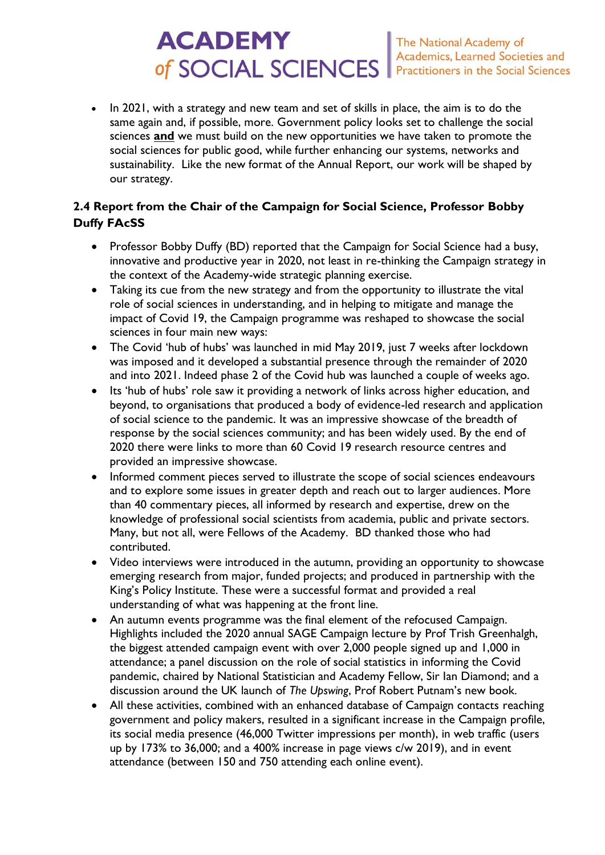# **ACADEMY** The National Academy of<br>Academics, Learned Societies and of SOCIAL SCIENCES Practitioners in the Social Sciences

• In 2021, with a strategy and new team and set of skills in place, the aim is to do the same again and, if possible, more. Government policy looks set to challenge the social sciences **and** we must build on the new opportunities we have taken to promote the social sciences for public good, while further enhancing our systems, networks and sustainability. Like the new format of the Annual Report, our work will be shaped by our strategy.

# **2.4 Report from the Chair of the Campaign for Social Science, Professor Bobby Duffy FAcSS**

- Professor Bobby Duffy (BD) reported that the Campaign for Social Science had a busy, innovative and productive year in 2020, not least in re-thinking the Campaign strategy in the context of the Academy-wide strategic planning exercise.
- Taking its cue from the new strategy and from the opportunity to illustrate the vital role of social sciences in understanding, and in helping to mitigate and manage the impact of Covid 19, the Campaign programme was reshaped to showcase the social sciences in four main new ways:
- The Covid 'hub of hubs' was launched in mid May 2019, just 7 weeks after lockdown was imposed and it developed a substantial presence through the remainder of 2020 and into 2021. Indeed phase 2 of the Covid hub was launched a couple of weeks ago.
- Its 'hub of hubs' role saw it providing a network of links across higher education, and beyond, to organisations that produced a body of evidence-led research and application of social science to the pandemic. It was an impressive showcase of the breadth of response by the social sciences community; and has been widely used. By the end of 2020 there were links to more than 60 Covid 19 research resource centres and provided an impressive showcase.
- Informed comment pieces served to illustrate the scope of social sciences endeavours and to explore some issues in greater depth and reach out to larger audiences. More than 40 commentary pieces, all informed by research and expertise, drew on the knowledge of professional social scientists from academia, public and private sectors. Many, but not all, were Fellows of the Academy. BD thanked those who had contributed.
- Video interviews were introduced in the autumn, providing an opportunity to showcase emerging research from major, funded projects; and produced in partnership with the King's Policy Institute. These were a successful format and provided a real understanding of what was happening at the front line.
- An autumn events programme was the final element of the refocused Campaign. Highlights included the 2020 annual SAGE Campaign lecture by Prof Trish Greenhalgh, the biggest attended campaign event with over 2,000 people signed up and 1,000 in attendance; a panel discussion on the role of social statistics in informing the Covid pandemic, chaired by National Statistician and Academy Fellow, Sir Ian Diamond; and a discussion around the UK launch of *The Upswing*, Prof Robert Putnam's new book.
- All these activities, combined with an enhanced database of Campaign contacts reaching government and policy makers, resulted in a significant increase in the Campaign profile, its social media presence (46,000 Twitter impressions per month), in web traffic (users up by 173% to 36,000; and a 400% increase in page views c/w 2019), and in event attendance (between 150 and 750 attending each online event).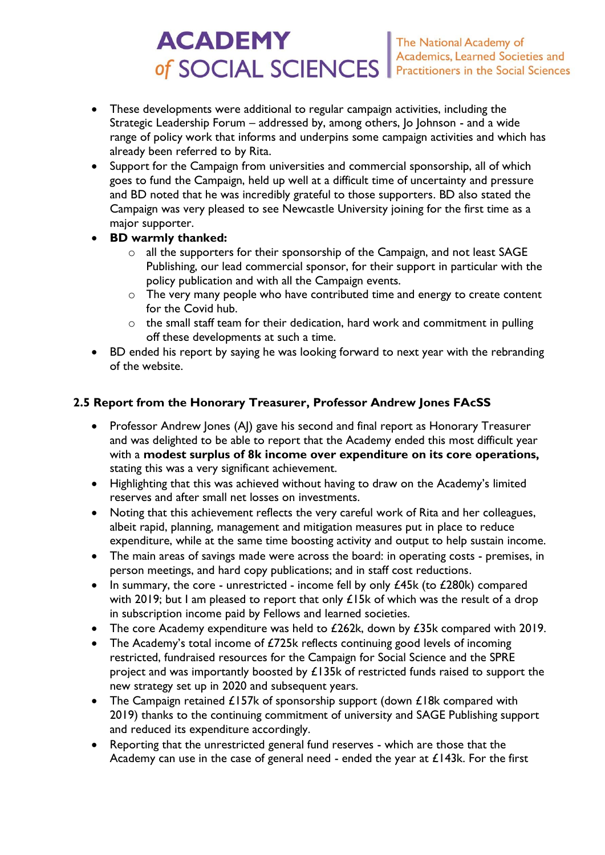# **ACADEMY** of SOCIAL SCIENCES

- These developments were additional to regular campaign activities, including the Strategic Leadership Forum – addressed by, among others, Jo Johnson - and a wide range of policy work that informs and underpins some campaign activities and which has already been referred to by Rita.
- Support for the Campaign from universities and commercial sponsorship, all of which goes to fund the Campaign, held up well at a difficult time of uncertainty and pressure and BD noted that he was incredibly grateful to those supporters. BD also stated the Campaign was very pleased to see Newcastle University joining for the first time as a major supporter.
- **BD warmly thanked:** 
	- o all the supporters for their sponsorship of the Campaign, and not least SAGE Publishing, our lead commercial sponsor, for their support in particular with the policy publication and with all the Campaign events.
	- o The very many people who have contributed time and energy to create content for the Covid hub.
	- o the small staff team for their dedication, hard work and commitment in pulling off these developments at such a time.
- BD ended his report by saying he was looking forward to next year with the rebranding of the website.

# **2.5 Report from the Honorary Treasurer, Professor Andrew Jones FAcSS**

- Professor Andrew Jones (AJ) gave his second and final report as Honorary Treasurer and was delighted to be able to report that the Academy ended this most difficult year with a **modest surplus of 8k income over expenditure on its core operations,**  stating this was a very significant achievement.
- Highlighting that this was achieved without having to draw on the Academy's limited reserves and after small net losses on investments.
- Noting that this achievement reflects the very careful work of Rita and her colleagues, albeit rapid, planning, management and mitigation measures put in place to reduce expenditure, while at the same time boosting activity and output to help sustain income.
- The main areas of savings made were across the board: in operating costs premises, in person meetings, and hard copy publications; and in staff cost reductions.
- In summary, the core unrestricted income fell by only £45k (to £280k) compared with 2019; but I am pleased to report that only  $£15k$  of which was the result of a drop in subscription income paid by Fellows and learned societies.
- The core Academy expenditure was held to  $£262k$ , down by  $£35k$  compared with 2019.
- The Academy's total income of £725k reflects continuing good levels of incoming restricted, fundraised resources for the Campaign for Social Science and the SPRE project and was importantly boosted by £135k of restricted funds raised to support the new strategy set up in 2020 and subsequent years.
- The Campaign retained £157k of sponsorship support (down £18k compared with 2019) thanks to the continuing commitment of university and SAGE Publishing support and reduced its expenditure accordingly.
- Reporting that the unrestricted general fund reserves which are those that the Academy can use in the case of general need - ended the year at  $£143k$ . For the first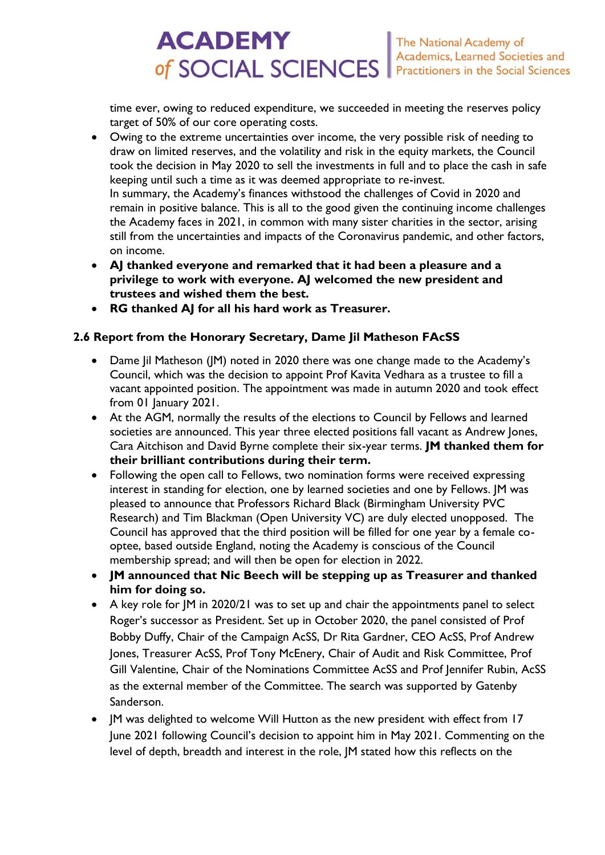#### **ACADEMY** The National Academy of<br>Academics, Learned Societies and of SOCIAL SCIENCES Practitioners in the Social Sciences

time ever, owing to reduced expenditure, we succeeded in meeting the reserves policy target of 50% of our core operating costs.

- Owing to the extreme uncertainties over income, the very possible risk of needing to draw on limited reserves, and the volatility and risk in the equity markets, the Council took the decision in May 2020 to sell the investments in full and to place the cash in safe keeping until such a time as it was deemed appropriate to re-invest. In summary, the Academy's finances withstood the challenges of Covid in 2020 and remain in positive balance. This is all to the good given the continuing income challenges the Academy faces in 2021, in common with many sister charities in the sector, arising still from the uncertainties and impacts of the Coronavirus pandemic, and other factors, on income.
- **AJ thanked everyone and remarked that it had been a pleasure and a privilege to work with everyone. AJ welcomed the new president and trustees and wished them the best.**
- **RG thanked AJ for all his hard work as Treasurer.**

# **2.6 Report from the Honorary Secretary, Dame Jil Matheson FAcSS**

- Dame Jil Matheson (JM) noted in 2020 there was one change made to the Academy's Council, which was the decision to appoint Prof Kavita Vedhara as a trustee to fill a vacant appointed position. The appointment was made in autumn 2020 and took effect from 01 January 2021.
- At the AGM, normally the results of the elections to Council by Fellows and learned societies are announced. This year three elected positions fall vacant as Andrew Jones, Cara Aitchison and David Byrne complete their six-year terms. **JM thanked them for their brilliant contributions during their term.**
- Following the open call to Fellows, two nomination forms were received expressing interest in standing for election, one by learned societies and one by Fellows. JM was pleased to announce that Professors Richard Black (Birmingham University PVC Research) and Tim Blackman (Open University VC) are duly elected unopposed. The Council has approved that the third position will be filled for one year by a female cooptee, based outside England, noting the Academy is conscious of the Council membership spread; and will then be open for election in 2022.
- **JM announced that Nic Beech will be stepping up as Treasurer and thanked him for doing so.**
- A key role for JM in 2020/21 was to set up and chair the appointments panel to select Roger's successor as President. Set up in October 2020, the panel consisted of Prof Bobby Duffy, Chair of the Campaign AcSS, Dr Rita Gardner, CEO AcSS, Prof Andrew Jones, Treasurer AcSS, Prof Tony McEnery, Chair of Audit and Risk Committee, Prof Gill Valentine, Chair of the Nominations Committee AcSS and Prof Jennifer Rubin, AcSS as the external member of the Committee. The search was supported by Gatenby Sanderson.
- JM was delighted to welcome Will Hutton as the new president with effect from 17 June 2021 following Council's decision to appoint him in May 2021. Commenting on the level of depth, breadth and interest in the role, JM stated how this reflects on the